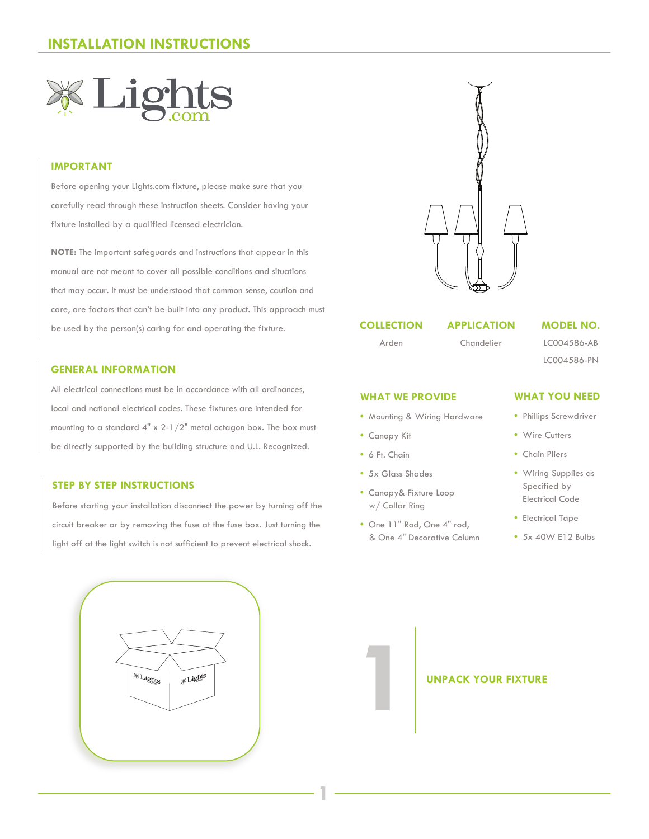

## **IMPORTANT**

Before opening your Lights.com fixture, please make sure that you carefully read through these instruction sheets. Consider having your fixture installed by a qualified licensed electrician.

**NOTE:** The important safeguards and instructions that appear in this manual are not meant to cover all possible conditions and situations that may occur. It must be understood that common sense, caution and care, are factors that can't be built into any product. This approach must be used by the person(s) caring for and operating the fixture.

## **GENERAL INFORMATION**

All electrical connections must be in accordance with all ordinances, local and national electrical codes. These fixtures are intended for mounting to a standard 4" x 2-1/2" metal octagon box. The box must be directly supported by the building structure and U.L. Recognized.

### **STEP BY STEP INSTRUCTIONS**

Before starting your installation disconnect the power by turning off the circuit breaker or by removing the fuse at the fuse box. Just turning the light off at the light switch is not sufficient to prevent electrical shock.





### **COLLECTION**

### **APPLICATION**

Arden

Chandelier

### **WHAT WE PROVIDE**

- Mounting & Wiring Hardware
- Canopy Kit
- 6 Ft. Chain

**1**

- 5x Glass Shades
- Canopy& Fixture Loop w/ Collar Ring
- One 11" Rod, One 4" rod, & One 4" Decorative Column

**MODEL NO.** LC004586-AB

LC004586-PN

### **WHAT YOU NEED**

- Phillips Screwdriver
- Wire Cutters
- Chain Pliers
- Wiring Supplies as Specified by Electrical Code
- Electrical Tape
- 5x 40W E12 Bulbs

# **UNPACK YOUR FIXTURE**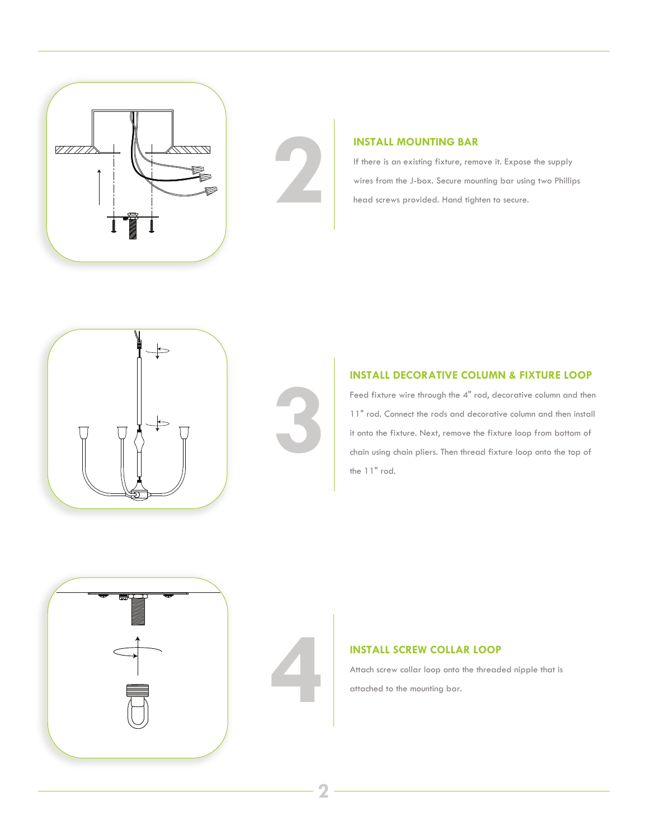



## **INSTALL MOUNTING BAR**

If there is an existing fixture, remove it. Expose the supply wires from the J-box. Secure mounting bar using two Phillips head screws provided. Hand tighten to secure.





## **INSTALL DECORATIVE COLUMN & FIXTURE LOOP**

Feed fixture wire through the 4" rod, decorative column and then 11" rod. Connect the rods and decorative column and then install it onto the fixture. Next, remove the fixture loop from bottom of chain using chain pliers. Then thread fixture loop onto the top of the 11" rod.



# **INSTALL SCREW COLLAR LOOP**<br>Attach screw collar loop onto the thread<br>attached to the mounting bar.

Attach screw collar loop onto the threaded nipple that is attached to the mounting bar.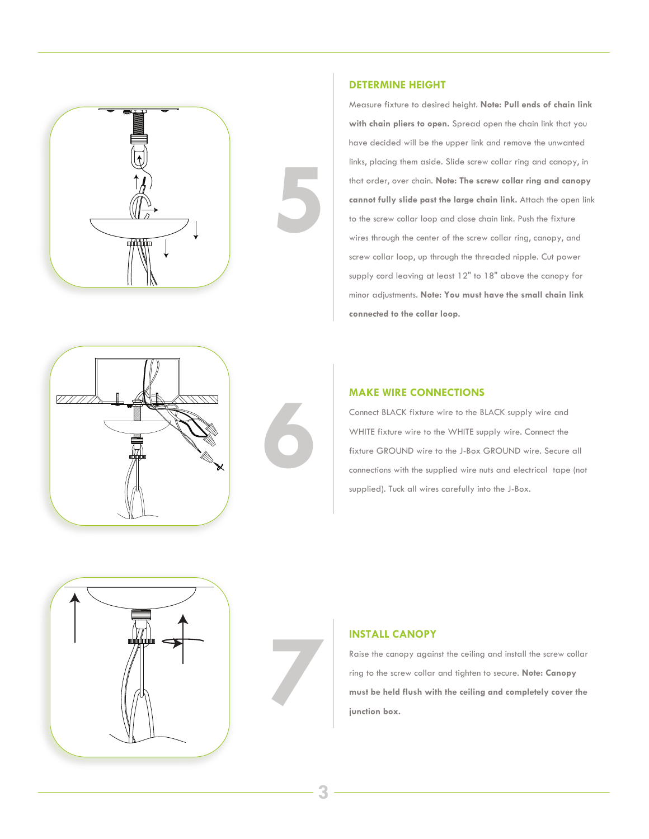



Measure fixture to desired height. **Note: Pull ends of chain link with chain pliers to open.** Spread open the chain link that you have decided will be the upper link and remove the unwanted links, placing them aside. Slide screw collar ring and canopy, in that order, over chain. **Note: The screw collar ring and canopy cannot fully slide past the large chain link.** Attach the open link to the screw collar loop and close chain link. Push the fixture wires through the center of the screw collar ring, canopy, and screw collar loop, up through the threaded nipple. Cut power supply cord leaving at least 12" to 18" above the canopy for minor adjustments. **Note: You must have the small chain link connected to the collar loop.**





**5**

### **MAKE WIRE CONNECTIONS**

Connect BLACK fixture wire to the BLACK supply wire and WHITE fixture wire to the WHITE supply wire. Connect the fixture GROUND wire to the J-Box GROUND wire. Secure all connections with the supplied wire nuts and electrical tape (not supplied). Tuck all wires carefully into the J-Box.



# **7**

## **INSTALL CANOPY**

Raise the canopy against the ceiling and install the screw collar ring to the screw collar and tighten to secure. **Note: Canopy must be held flush with the ceiling and completely cover the junction box.**